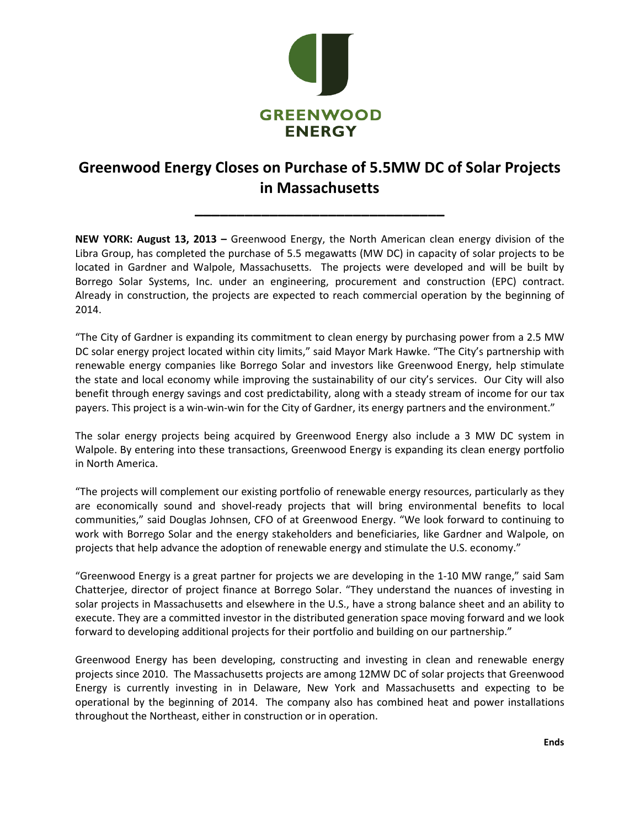

## **Greenwood Energy Closes on Purchase of 5.5MW DC of Solar Projects in Massachusetts**

**\_\_\_\_\_\_\_\_\_\_\_\_\_\_\_\_\_\_\_\_\_\_\_\_\_\_\_\_\_\_**

**NEW YORK: August 13, 2013 –** Greenwood Energy, the North American clean energy division of the Libra Group, has completed the purchase of 5.5 megawatts (MW DC) in capacity of solar projects to be located in Gardner and Walpole, Massachusetts. The projects were developed and will be built by Borrego Solar Systems, Inc. under an engineering, procurement and construction (EPC) contract. Already in construction, the projects are expected to reach commercial operation by the beginning of 2014.

"The City of Gardner is expanding its commitment to clean energy by purchasing power from a 2.5 MW DC solar energy project located within city limits," said Mayor Mark Hawke. "The City's partnership with renewable energy companies like Borrego Solar and investors like Greenwood Energy, help stimulate the state and local economy while improving the sustainability of our city's services. Our City will also benefit through energy savings and cost predictability, along with a steady stream of income for our tax payers. This project is a win-win-win for the City of Gardner, its energy partners and the environment."

The solar energy projects being acquired by Greenwood Energy also include a 3 MW DC system in Walpole. By entering into these transactions, Greenwood Energy is expanding its clean energy portfolio in North America.

"The projects will complement our existing portfolio of renewable energy resources, particularly as they are economically sound and shovel-ready projects that will bring environmental benefits to local communities," said Douglas Johnsen, CFO of at Greenwood Energy. "We look forward to continuing to work with Borrego Solar and the energy stakeholders and beneficiaries, like Gardner and Walpole, on projects that help advance the adoption of renewable energy and stimulate the U.S. economy."

"Greenwood Energy is a great partner for projects we are developing in the 1-10 MW range," said Sam Chatterjee, director of project finance at Borrego Solar. "They understand the nuances of investing in solar projects in Massachusetts and elsewhere in the U.S., have a strong balance sheet and an ability to execute. They are a committed investor in the distributed generation space moving forward and we look forward to developing additional projects for their portfolio and building on our partnership."

Greenwood Energy has been developing, constructing and investing in clean and renewable energy projects since 2010. The Massachusetts projects are among 12MW DC of solar projects that Greenwood Energy is currently investing in in Delaware, New York and Massachusetts and expecting to be operational by the beginning of 2014. The company also has combined heat and power installations throughout the Northeast, either in construction or in operation.